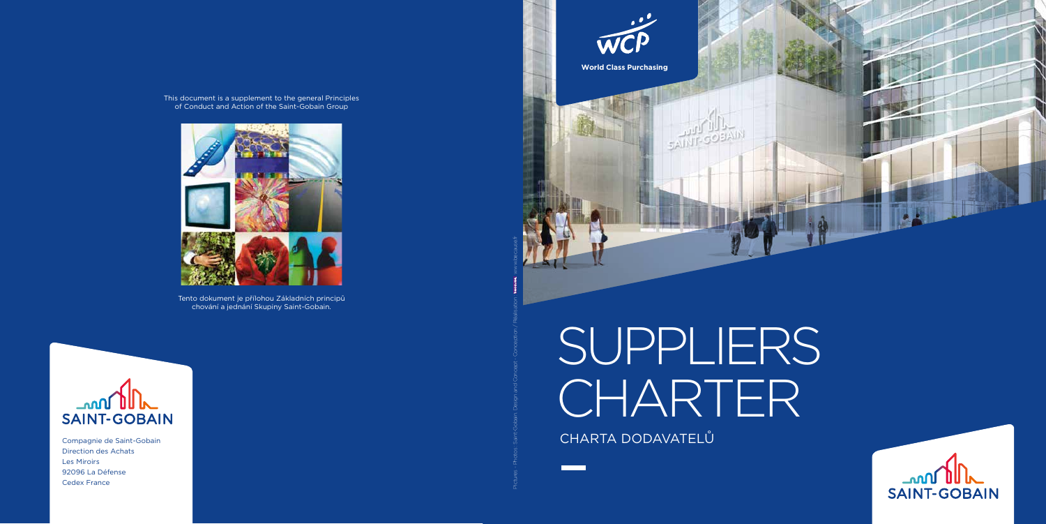# SUPPLIERS CHARTER CHARTA DODAVATELŮ



Compagnie de Saint-Gobain Direction des Achats Les Miroirs 92096 La Défense Cedex France



Pictures - Photos : Saint-Gobain. Design and Concept - Conception / Réalisation : www.because.fr





This document is a supplement to the general Principles of Conduct and Action of the Saint-Gobain Group



Tento dokument je přílohou Základních principů chování a jednání Skupiny Saint-Gobain.

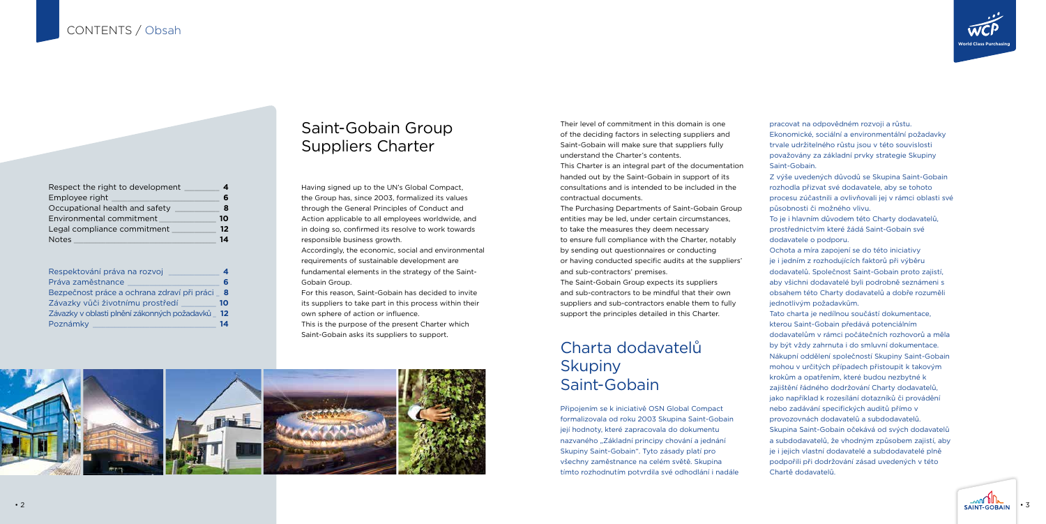#### Saint-Gobain Group Suppliers Charter

#### Charta dodavatelů **Skupiny** Saint-Gobain

Having signed up to the UN's Global Compact, the Group has, since 2003, formalized its values through the General Principles of Conduct and Action applicable to all employees worldwide, and in doing so, confirmed its resolve to work towards responsible business growth.

Accordingly, the economic, social and environmental requirements of sustainable development are fundamental elements in the strategy of the Saint-Gobain Group.

For this reason, Saint-Gobain has decided to invite its suppliers to take part in this process within their own sphere of action or influence.

This is the purpose of the present Charter which Saint-Gobain asks its suppliers to support.



| Respect the right to development |    |
|----------------------------------|----|
| Employee right                   | 6  |
| Occupational health and safety   | 8  |
| Environmental commitment         | 10 |
| Legal compliance commitment      | 12 |
| <b>Notes</b>                     | 14 |

| Respektování práva na rozvoj                  | 4    |
|-----------------------------------------------|------|
| Práva zaměstnance                             | 6    |
| Bezpečnost práce a ochrana zdraví při práci 8 |      |
| Závazky vůči životnímu prostředí              | 10   |
| Závazky v oblasti plnění zákonných požadavků  | - 12 |
| Poznámky                                      | 14   |

Their level of commitment in this domain is one of the deciding factors in selecting suppliers and Saint-Gobain will make sure that suppliers fully understand the Charter's contents.

This Charter is an integral part of the documentation handed out by the Saint-Gobain in support of its consultations and is intended to be included in the contractual documents.

The Purchasing Departments of Saint-Gobain Group entities may be led, under certain circumstances, to take the measures they deem necessary to ensure full compliance with the Charter, notably by sending out questionnaires or conducting or having conducted specific audits at the suppliers' and sub-contractors' premises.

The Saint-Gobain Group expects its suppliers and sub-contractors to be mindful that their own suppliers and sub-contractors enable them to fully support the principles detailed in this Charter.

Připojením se k iniciativě OSN Global Compact formalizovala od roku 2003 Skupina Saint-Gobain její hodnoty, které zapracovala do dokumentu nazvaného "Základní principy chování a jednání Skupiny Saint-Gobain". Tyto zásady platí pro všechny zaměstnance na celém světě. Skupina tímto rozhodnutím potvrdila své odhodlání i nadále

pracovat na odpovědném rozvoji a růstu. Ekonomické, sociální a environmentální požadavky trvale udržitelného růstu jsou v této souvislosti považovány za základní prvky strategie Skupiny Saint-Gobain.



Z výše uvedených důvodů se Skupina Saint-Gobain rozhodla přizvat své dodavatele, aby se tohoto procesu zúčastnili a ovlivňovali jej v rámci oblasti své působnosti či možného vlivu.

To je i hlavním důvodem této Charty dodavatelů, prostřednictvím které žádá Saint-Gobain své dodavatele o podporu.

Ochota a míra zapojení se do této iniciativy je i jedním z rozhodujících faktorů při výběru dodavatelů. Společnost Saint-Gobain proto zajistí, aby všichni dodavatelé byli podrobně seznámeni s obsahem této Charty dodavatelů a dobře rozuměli jednotlivým požadavkům.

Tato charta je nedílnou součástí dokumentace, kterou Saint-Gobain předává potenciálním dodavatelům v rámci počátečních rozhovorů a měla by být vždy zahrnuta i do smluvní dokumentace. Nákupní oddělení společností Skupiny Saint-Gobain mohou v určitých případech přistoupit k takovým krokům a opatřením, které budou nezbytné k zajištění řádného dodržování Charty dodavatelů, jako například k rozesílání dotazníků či provádění nebo zadávání specifických auditů přímo v provozovnách dodavatelů a subdodavatelů. Skupina Saint-Gobain očekává od svých dodavatelů a subdodavatelů, že vhodným způsobem zajistí, aby je i jejich vlastní dodavatelé a subdodavatelé plně podpořili při dodržování zásad uvedených v této Chartě dodavatelů.

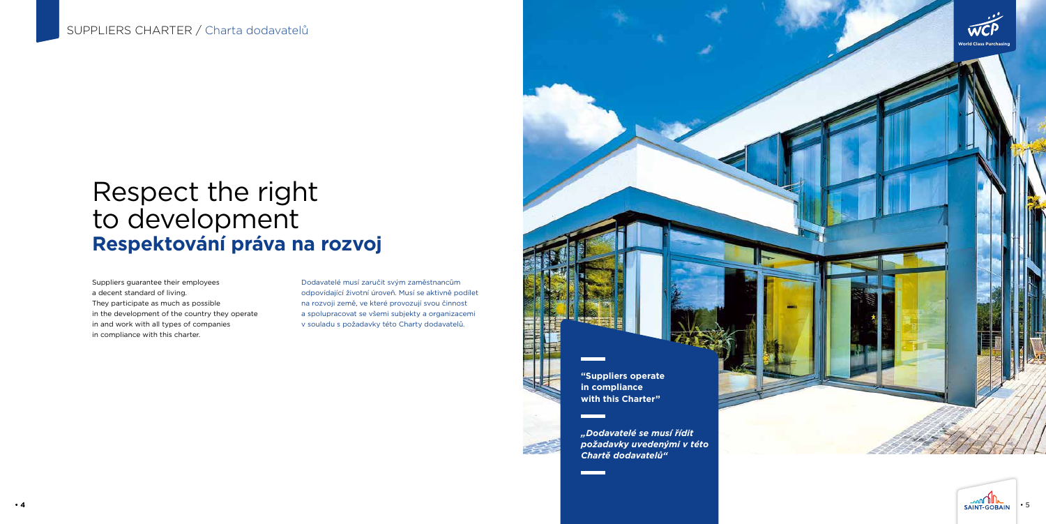# Respect the right to development **Respektování práva na rozvoj**

Suppliers guarantee their employees a decent standard of living. They participate as much as possible in the development of the country they operate in and work with all types of companies in compliance with this charter.

Dodavatelé musí zaručit svým zaměstnancům odpovídající životní úroveň. Musí se aktivně podílet na rozvoji země, ve které provozují svou činnost a spolupracovat se všemi subjekty a organizacemi v souladu s požadavky této Charty dodavatelů.

> *"Dodavatelé se musí řídit požadavky uvedenými v této Chartě dodavatelů"*







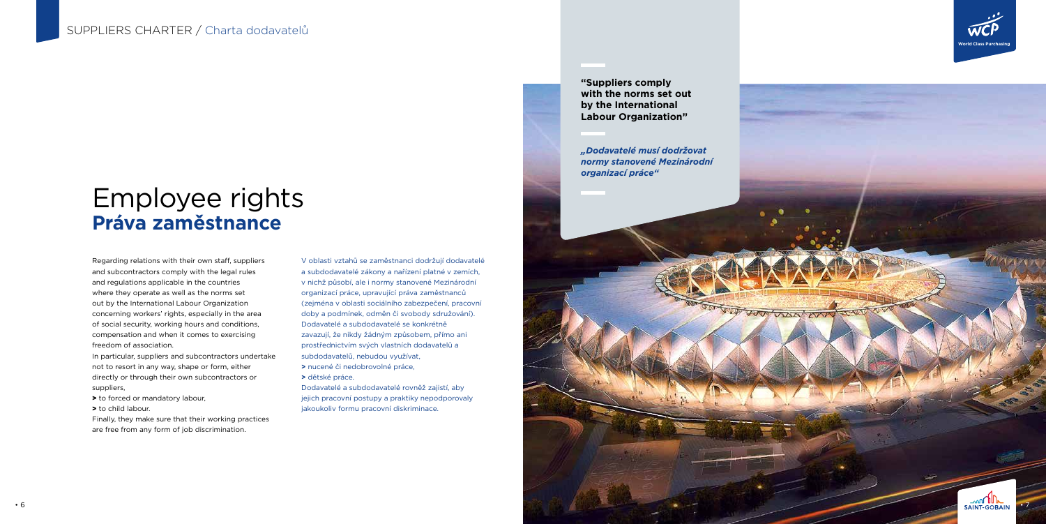### Employee rights **Práva zaměstnance**

Regarding relations with their own staff, suppliers and subcontractors comply with the legal rules and regulations applicable in the countries where they operate as well as the norms set out by the International Labour Organization concerning workers' rights, especially in the area of social security, working hours and conditions, compensation and when it comes to exercising freedom of association.

- > to forced or mandatory labour,
- > to child labour.

In particular, suppliers and subcontractors undertake not to resort in any way, shape or form, either directly or through their own subcontractors or suppliers,

Finally, they make sure that their working practices are free from any form of job discrimination.

V oblasti vztahů se zaměstnanci dodržují dodavatelé a subdodavatelé zákony a nařízení platné v zemích, v nichž působí, ale i normy stanovené Mezinárodní organizací práce, upravující práva zaměstnanců (zejména v oblasti sociálního zabezpečení, pracovní doby a podmínek, odměn či svobody sdružování). Dodavatelé a subdodavatelé se konkrétně zavazují, že nikdy žádným způsobem, přímo ani prostřednictvím svých vlastních dodavatelů a subdodavatelů, nebudou využívat, **>** nucené či nedobrovolné práce,

**>** dětské práce.

Dodavatelé a subdodavatelé rovněž zajistí, aby jejich pracovní postupy a praktiky nepodporovaly jakoukoliv formu pracovní diskriminace.

*"Dodavatelé musí dodržovat normy stanovené Mezinárodní organizací práce"*

**"Suppliers comply with the norms set out by the International Labour Organization"**



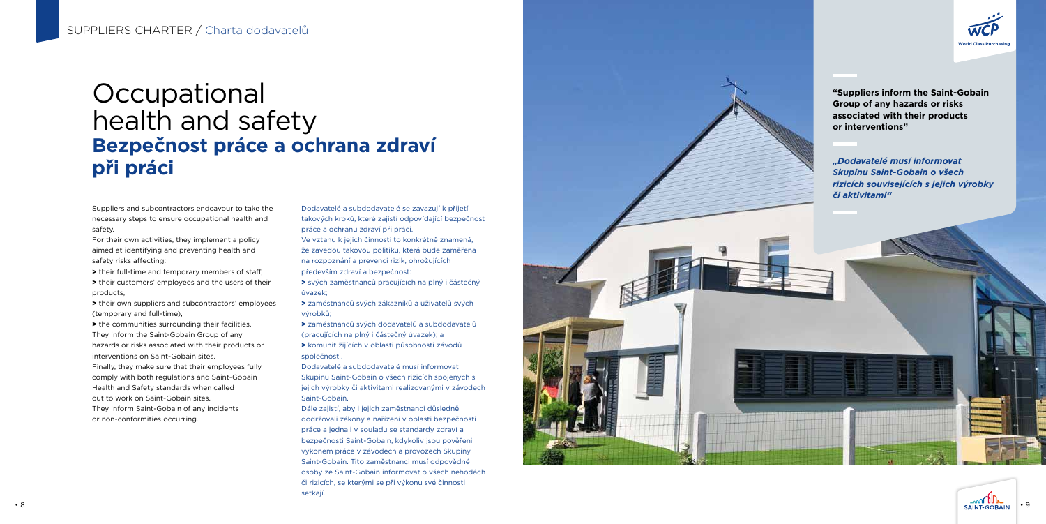#### **Occupational** health and safety **Bezpečnost práce a ochrana zdraví při práci**

Suppliers and subcontractors endeavour to take the necessary steps to ensure occupational health and safety.

For their own activities, they implement a policy aimed at identifying and preventing health and safety risks affecting:

> their full-time and temporary members of staff, > their customers' employees and the users of their products,

> their own suppliers and subcontractors' employees (temporary and full-time),

> the communities surrounding their facilities. They inform the Saint-Gobain Group of any hazards or risks associated with their products or interventions on Saint-Gobain sites. Finally, they make sure that their employees fully comply with both regulations and Saint-Gobain Health and Safety standards when called out to work on Saint-Gobain sites. They inform Saint-Gobain of any incidents

or non-conformities occurring.

Dodavatelé a subdodavatelé se zavazují k přijetí takových kroků, které zajistí odpovídající bezpečnost práce a ochranu zdraví při práci.

Ve vztahu k jejich činnosti to konkrétně znamená, že zavedou takovou politiku, která bude zaměřena na rozpoznání a prevenci rizik, ohrožujících především zdraví a bezpečnost:

> svých zaměstnanců pracujících na plný i částečný úvazek;

> zaměstnanců svých zákazníků a uživatelů svých výrobků;

> zaměstnanců svých dodavatelů a subdodavatelů (pracujících na plný i částečný úvazek); a > komunit žijících v oblasti působnosti závodů

společnosti.

Dodavatelé a subdodavatelé musí informovat Skupinu Saint-Gobain o všech rizicích spojených s jejich výrobky či aktivitami realizovanými v závodech Saint-Gobain.

Dále zajistí, aby i jejich zaměstnanci důsledně dodržovali zákony a nařízení v oblasti bezpečnosti práce a jednali v souladu se standardy zdraví a bezpečnosti Saint-Gobain, kdykoliv jsou pověřeni výkonem práce v závodech a provozech Skupiny Saint-Gobain. Tito zaměstnanci musí odpovědné osoby ze Saint-Gobain informovat o všech nehodách či rizicích, se kterými se při výkonu své činnosti setkají.





*"Dodavatelé musí informovat Skupinu Saint-Gobain o všech rizicích souvisejících s jejich výrobky či aktivitami"*

**"Suppliers inform the Saint-Gobain Group of any hazards or risks associated with their products or interventions"**

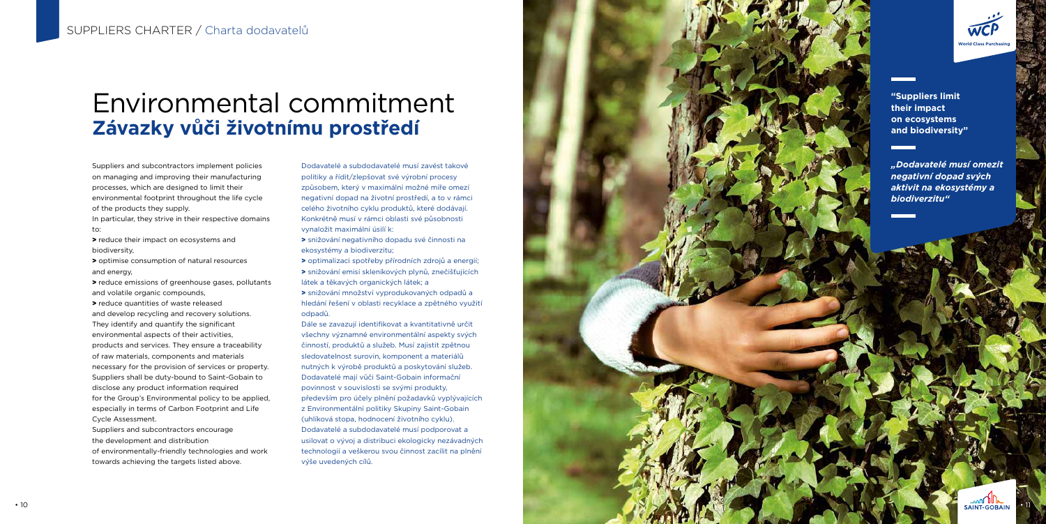# Environmental commitment **Závazky vůči životnímu prostředí**

Suppliers and subcontractors implement policies on managing and improving their manufacturing processes, which are designed to limit their environmental footprint throughout the life cycle of the products they supply.

In particular, they strive in their respective domains to:

> reduce their impact on ecosystems and biodiversity,

> optimise consumption of natural resources and energy,

> reduce emissions of greenhouse gases, pollutants and volatile organic compounds,

> reduce quantities of waste released and develop recycling and recovery solutions. They identify and quantify the significant environmental aspects of their activities, products and services. They ensure a traceability of raw materials, components and materials necessary for the provision of services or property. Suppliers shall be duty-bound to Saint-Gobain to disclose any product information required for the Group's Environmental policy to be applied, especially in terms of Carbon Footprint and Life Cycle Assessment.

Suppliers and subcontractors encourage the development and distribution of environmentally-friendly technologies and work towards achieving the targets listed above.

Dodavatelé a subdodavatelé musí zavést takové politiky a řídit/zlepšovat své výrobní procesy způsobem, který v maximální možné míře omezí negativní dopad na životní prostředí, a to v rámci celého životního cyklu produktů, které dodávají. Konkrétně musí v rámci oblasti své působnosti vynaložit maximální úsilí k:

> snižování negativního dopadu své činnosti na ekosystémy a biodiverzitu;

> optimalizaci spotřeby přírodních zdrojů a energií; > snižování emisí skleníkových plynů, znečišťujících látek a těkavých organických látek; a

> snižování množství vyprodukovaných odpadů a hledání řešení v oblasti recyklace a zpětného využití odpadů.

Dále se zavazují identifikovat a kvantitativně určit všechny významné environmentální aspekty svých činností, produktů a služeb. Musí zajistit zpětnou sledovatelnost surovin, komponent a materiálů nutných k výrobě produktů a poskytování služeb. Dodavatelé mají vůči Saint-Gobain informační povinnost v souvislosti se svými produkty, především pro účely plnění požadavků vyplývajících z Environmentální politiky Skupiny Saint-Gobain (uhlíková stopa, hodnocení životního cyklu). Dodavatelé a subdodavatelé musí podporovat a usilovat o vývoj a distribuci ekologicky nezávadných technologií a veškerou svou činnost zacílit na plnění výše uvedených cílů.



*"Dodavatelé musí omezit negativní dopad svých aktivit na ekosystémy a biodiverzitu"*



**"Suppliers limit their impact on ecosystems and biodiversity"**

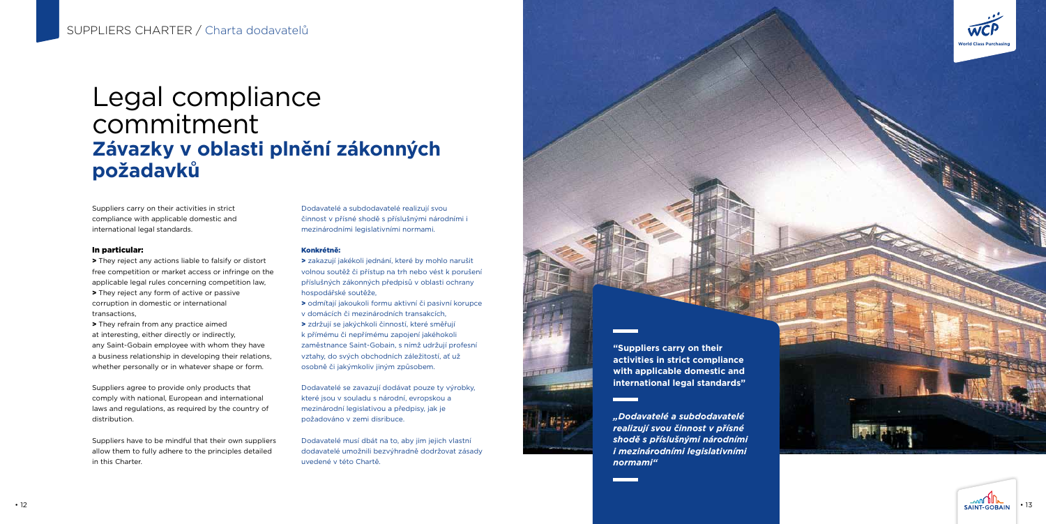### Legal compliance commitment **Závazky v oblasti plnění zákonných požadavků**

Suppliers carry on their activities in strict compliance with applicable domestic and international legal standards.

#### In particular:

> They reject any actions liable to falsify or distort free competition or market access or infringe on the applicable legal rules concerning competition law, > They reject any form of active or passive corruption in domestic or international transactions,

> They refrain from any practice aimed at interesting, either directly or indirectly, any Saint-Gobain employee with whom they have a business relationship in developing their relations, whether personally or in whatever shape or form.

Suppliers agree to provide only products that comply with national, European and international laws and regulations, as required by the country of distribution.

Suppliers have to be mindful that their own suppliers allow them to fully adhere to the principles detailed in this Charter.

Dodavatelé a subdodavatelé realizují svou činnost v přísné shodě s příslušnými národními i mezinárodními legislativními normami.

#### Konkrétně:

> zakazují jakékoli jednání, které by mohlo narušit volnou soutěž či přístup na trh nebo vést k porušení příslušných zákonných předpisů v oblasti ochrany hospodářské soutěže,

> odmítají jakoukoli formu aktivní či pasivní korupce

v domácích či mezinárodních transakcích,

> zdržují se jakýchkoli činností, které směřují k přímému či nepřímému zapojení jakéhokoli

zaměstnance Saint-Gobain, s nímž udržují profesní vztahy, do svých obchodních záležitostí, ať už osobně či jakýmkoliv jiným způsobem.

Dodavatelé se zavazují dodávat pouze ty výrobky, které jsou v souladu s národní, evropskou a mezinárodní legislativou a předpisy, jak je požadováno v zemi disribuce.

Dodavatelé musí dbát na to, aby jim jejich vlastní dodavatelé umožnili bezvýhradně dodržovat zásady uvedené v této Chartě.

*"Dodavatelé a subdodavatelé realizují svou činnost v přísné shodě s příslušnými národními i mezinárodními legislativními normami"*



**activities in strict compliance with applicable domestic and international legal standards"**